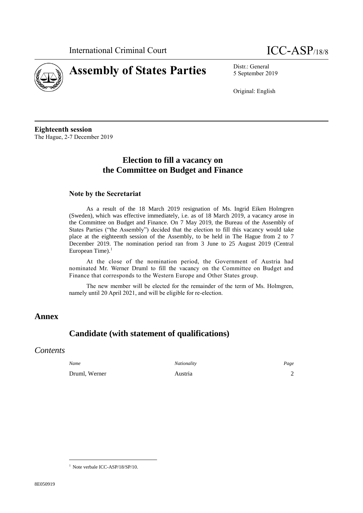

5 September 2019

Original: English

**Eighteenth session** The Hague, 2-7 December 2019

# **Election to fill a vacancy on the Committee on Budget and Finance**

### **Note by the Secretariat**

As a result of the 18 March 2019 resignation of Ms. Ingrid Eiken Holmgren (Sweden), which was effective immediately, i.e. as of 18 March 2019, a vacancy arose in the Committee on Budget and Finance. On 7 May 2019, the Bureau of the Assembly of States Parties ("the Assembly") decided that the election to fill this vacancy would take place at the eighteenth session of the Assembly, to be held in The Hague from 2 to 7 December 2019. The nomination period ran from 3 June to 25 August 2019 (Central European Time).<sup>1</sup>

At the close of the nomination period, the Government of Austria had nominated Mr. Werner Druml to fill the vacancy on the Committee on Budget and Finance that corresponds to the Western Europe and Other States group.

The new member will be elected for the remainder of the term of Ms. Holmgren, namely until 20 April 2021, and will be eligible for re-election.

## **Annex**

# **Candidate (with statement of qualifications)**

## *Contents*

*Name Nationality Page* Druml, Werner **Austria** 2

<sup>1</sup> Note verbale ICC-ASP/18/SP/10.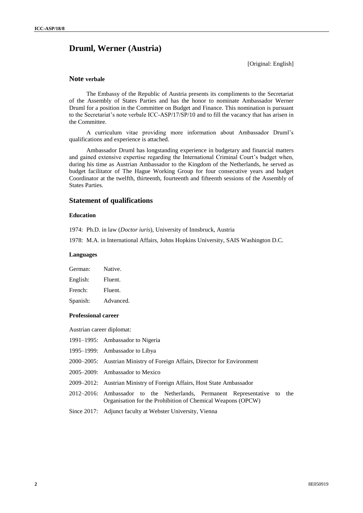## **Druml, Werner (Austria)**

[Original: English]

### **Note verbale**

The Embassy of the Republic of Austria presents its compliments to the Secretariat of the Assembly of States Parties and has the honor to nominate Ambassador Werner Druml for a position in the Committee on Budget and Finance. This nomination is pursuant to the Secretariat's note verbale ICC-ASP/17/SP/10 and to fill the vacancy that has arisen in the Committee.

A curriculum vitae providing more information about Ambassador Druml's qualifications and experience is attached.

Ambassador Druml has longstanding experience in budgetary and financial matters and gained extensive expertise regarding the International Criminal Court's budget when, during his time as Austrian Ambassador to the Kingdom of the Netherlands, he served as budget facilitator of The Hague Working Group for four consecutive years and budget Coordinator at the twelfth, thirteenth, fourteenth and fifteenth sessions of the Assembly of States Parties.

### **Statement of qualifications**

#### **Education**

1974: Ph.D. in law (*Doctor iuris*), University of Innsbruck, Austria

1978: M.A. in International Affairs, Johns Hopkins University, SAIS Washington D.C.

#### **Languages**

| Native.   |
|-----------|
| Fluent.   |
| Fluent.   |
| Advanced. |
|           |

#### **Professional career**

Austrian career diplomat:

- 1991–1995: Ambassador to Nigeria
- 1995–1999: Ambassador to Libya
- 2000–2005: Austrian Ministry of Foreign Affairs, Director for Environment
- 2005–2009: Ambassador to Mexico
- 2009–2012: Austrian Ministry of Foreign Affairs, Host State Ambassador
- 2012–2016: Ambassador to the Netherlands, Permanent Representative to the Organisation for the Prohibition of Chemical Weapons (OPCW)

Since 2017: Adjunct faculty at Webster University, Vienna